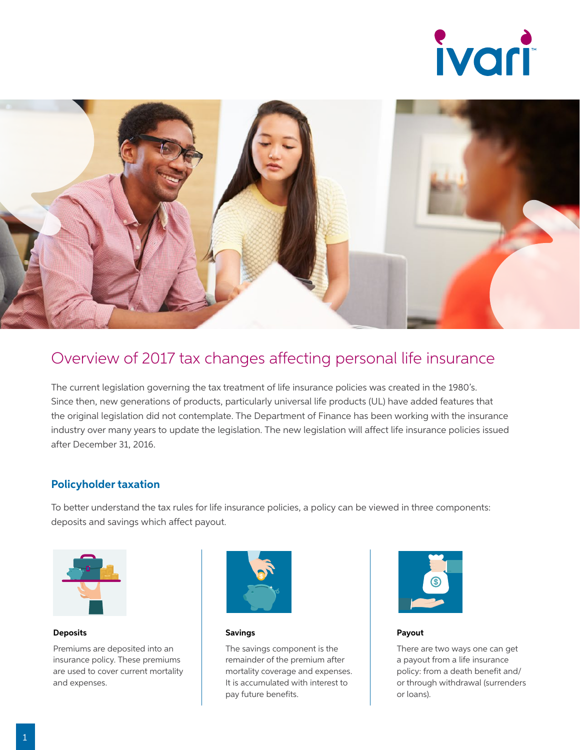



### Overview of 2017 tax changes affecting personal life insurance

The current legislation governing the tax treatment of life insurance policies was created in the 1980's. Since then, new generations of products, particularly universal life products (UL) have added features that the original legislation did not contemplate. The Department of Finance has been working with the insurance industry over many years to update the legislation. The new legislation will affect life insurance policies issued after December 31, 2016.

#### **Policyholder taxation**

To better understand the tax rules for life insurance policies, a policy can be viewed in three components: deposits and savings which affect payout.



#### **Deposits**

Premiums are deposited into an insurance policy. These premiums are used to cover current mortality and expenses.

**Deposits into contract** • Savings limit

**Deposits into contract** • Savings limit



Savings

**Deposits into contract** • Savings limit

The savings component is the **New 19 Is an and interce** in the mortality coverage and expenses. It is accumulated with interest to **New York is a legislation of the Crandfathering Crandfathering in the Crandfathering Crandfathering in the Crandfathering Crandfathering in the Crandfathering Crandfathering in the Crandfathering in the Crandfathering in rules impact these elements** remainder of the premium after **New York Contract Service Service Service Service Service Service Service Service Service Service Service Service Service Service Service Service Service Service Service Service Service Service Service Service Service Ser** 



**Payout** 

• ACB • NCPI

**Example 7** Substandant There are two ways one can get a payout from a life insurance **rules** in the control of the control of the control of the control of the control of the control of the control of the control of the control of the control of the control of the control of the control of the control of t policy: from a death benefit and/ or through withdrawal (surrenders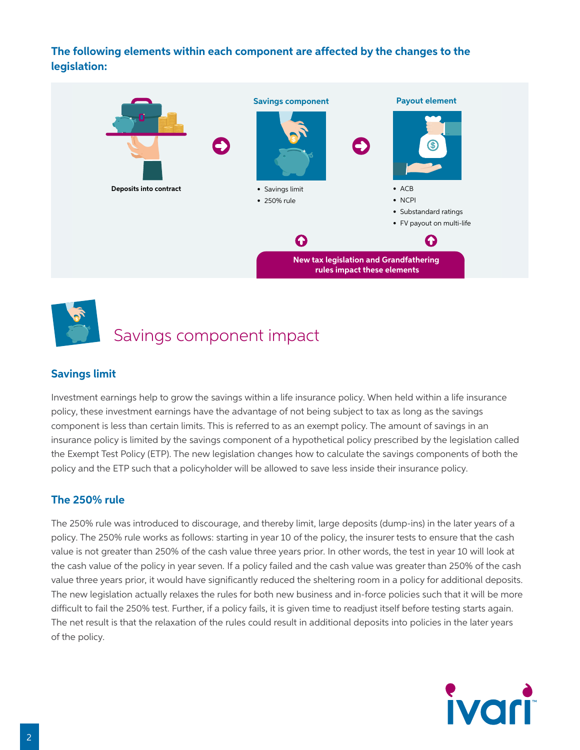#### **The following elements within each component are affected by the changes to the legislation:**





# Savings component impact

### **Savings limit**

**New tax legislation and Grandfathering rules impact these elements** Investment earnings help to grow the savings within a life insurance policy. When held within a life insurance policy, these investment earnings have the advantage of not being subject to tax as long as the savings component is less than certain limits. This is referred to as an exempt policy. The amount of savings in an insurance policy is limited by the savings component of a hypothetical policy prescribed by the legislation called the Exempt Test Policy (ETP). The new legislation changes how to calculate the savings components of both the policy and the ETP such that a policyholder will be allowed to save less inside their insurance policy.

### **The 250% rule**

The 250% rule was introduced to discourage, and thereby limit, large deposits (dump-ins) in the later years of a policy. The 250% rule works as follows: starting in year 10 of the policy, the insurer tests to ensure that the cash value is not greater than 250% of the cash value three years prior. In other words, the test in year 10 will look at the cash value of the policy in year seven. If a policy failed and the cash value was greater than 250% of the cash value three years prior, it would have significantly reduced the sheltering room in a policy for additional deposits. The new legislation actually relaxes the rules for both new business and in-force policies such that it will be more difficult to fail the 250% test. Further, if a policy fails, it is given time to readjust itself before testing starts again. The net result is that the relaxation of the rules could result in additional deposits into policies in the later years of the policy.

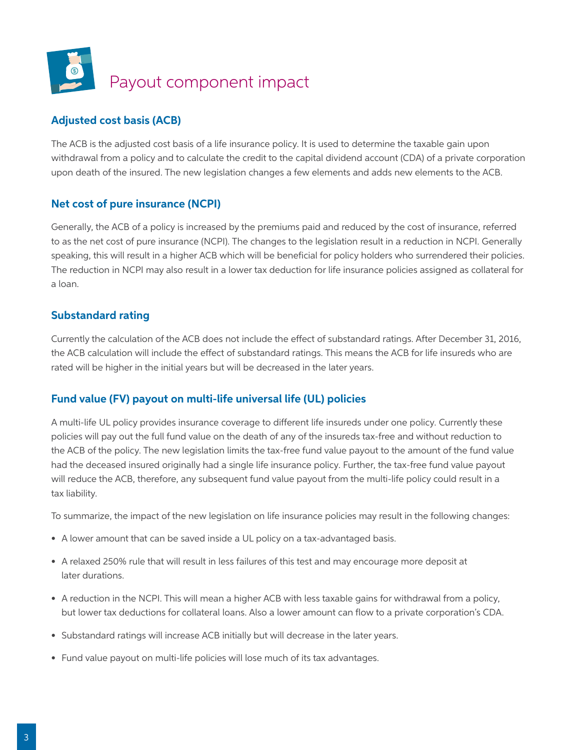

### **Adjusted cost basis (ACB)**

The ACB is the adjusted cost basis of a life insurance policy. It is used to determine the taxable gain upon **New York of the state of the state of the state of the state of the state of the state of the state of the state** withdrawal from a policy and to calculate the credit to the capital dividend account (CDA) of a private corporation upon death of the insured. The new legislation changes a few elements and adds new elements to the ACB.

#### **Net cost of pure insurance (NCPI)**

Generally, the ACB of a policy is increased by the premiums paid and reduced by the cost of insurance, referred to as the net cost of pure insurance (NCPI). The changes to the legislation result in a reduction in NCPI. Generally speaking, this will result in a higher ACB which will be beneficial for policy holders who surrendered their policies. The reduction in NCPI may also result in a lower tax deduction for life insurance policies assigned as collateral for a loan.

#### **Substandard rating**

Currently the calculation of the ACB does not include the effect of substandard ratings. After December 31, 2016, the ACB calculation will include the effect of substandard ratings. This means the ACB for life insureds who are rated will be higher in the initial years but will be decreased in the later years.

### **Fund value (FV) payout on multi-life universal life (UL) policies**

A multi-life UL policy provides insurance coverage to different life insureds under one policy. Currently these policies will pay out the full fund value on the death of any of the insureds tax-free and without reduction to the ACB of the policy. The new legislation limits the tax-free fund value payout to the amount of the fund value had the deceased insured originally had a single life insurance policy. Further, the tax-free fund value payout will reduce the ACB, therefore, any subsequent fund value payout from the multi-life policy could result in a tax liability.

To summarize, the impact of the new legislation on life insurance policies may result in the following changes:

- A lower amount that can be saved inside a UL policy on a tax-advantaged basis.
- A relaxed 250% rule that will result in less failures of this test and may encourage more deposit at later durations.
- A reduction in the NCPI. This will mean a higher ACB with less taxable gains for withdrawal from a policy, but lower tax deductions for collateral loans. Also a lower amount can flow to a private corporation's CDA.
- Substandard ratings will increase ACB initially but will decrease in the later years.
- Fund value payout on multi-life policies will lose much of its tax advantages.